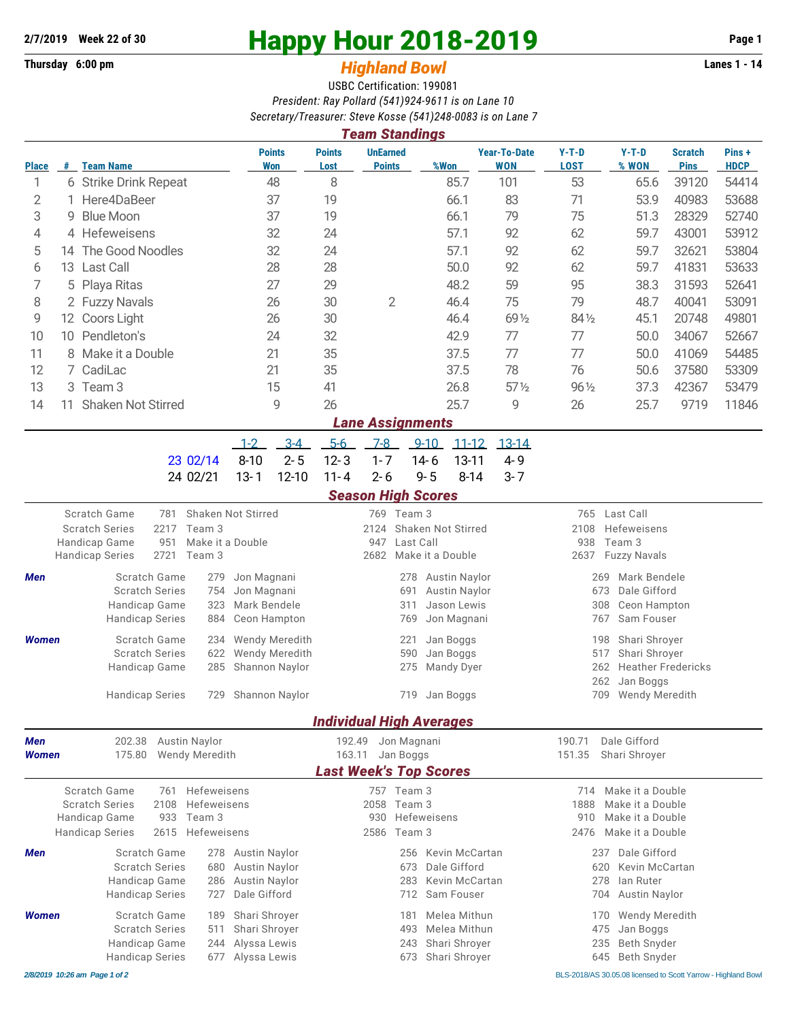**Thursday 6:00 pm** *Highland Bowl* 

## **2/7/2019** Week 22 of 30<br>
Thursday 6:00 pm<br> **Example 2018-2019 Page 1**<br> **Example 2018-2019**

## USBC Certification: 199081 *President: Ray Pollard (541)924-9611 is on Lane 10 Secretary/Treasurer: Steve Kosse (541)248-0083 is on Lane 7*

|                     | <b>Team Standings</b>                       |                                                            |                                |                              |                                                                                            |                                          |                                  |                         |                            |                                                  |                                              |                                  |                               |                      |  |  |  |
|---------------------|---------------------------------------------|------------------------------------------------------------|--------------------------------|------------------------------|--------------------------------------------------------------------------------------------|------------------------------------------|----------------------------------|-------------------------|----------------------------|--------------------------------------------------|----------------------------------------------|----------------------------------|-------------------------------|----------------------|--|--|--|
| <b>Place</b>        |                                             | # Team Name                                                |                                |                              | <b>Points</b><br>Won                                                                       | <b>Points</b><br>Lost                    | <b>UnEarned</b><br><b>Points</b> |                         | %Won                       | <b>Year-To-Date</b><br><b>WON</b>                | $Y-T-D$<br><b>LOST</b>                       | $Y-T-D$<br>% WON                 | <b>Scratch</b><br><b>Pins</b> | Pins+<br><b>HDCP</b> |  |  |  |
| 1                   |                                             | 6 Strike Drink Repeat                                      |                                |                              | 48                                                                                         | 8                                        |                                  |                         | 85.7                       | 101                                              | 53                                           | 65.6                             | 39120                         | 54414                |  |  |  |
| 2                   | 1.                                          | Here4DaBeer                                                |                                |                              | 37                                                                                         | 19                                       |                                  |                         | 66.1                       | 83                                               | 71                                           | 53.9                             | 40983                         | 53688                |  |  |  |
| 3                   | 9                                           | <b>Blue Moon</b>                                           |                                |                              | 37                                                                                         | 19                                       |                                  |                         | 66.1                       | 79                                               | 75                                           | 51.3                             | 28329                         | 52740                |  |  |  |
| 4                   |                                             | 4 Hefeweisens                                              |                                |                              | 32                                                                                         | 24<br>24                                 |                                  |                         | 57.1                       | 92                                               | 62                                           | 59.7                             | 43001                         | 53912                |  |  |  |
| 5                   | 14                                          | The Good Noodles                                           |                                |                              | 32                                                                                         |                                          |                                  |                         | 57.1                       | 92                                               | 62                                           | 59.7                             | 32621                         | 53804                |  |  |  |
| 6                   |                                             | 13 Last Call                                               |                                |                              | 28                                                                                         | 28                                       |                                  |                         | 50.0                       | 92                                               | 62                                           | 59.7                             | 41831                         | 53633                |  |  |  |
| 7                   | Playa Ritas<br>5                            |                                                            |                                |                              | 27                                                                                         | 29                                       |                                  |                         | 48.2                       | 59                                               | 95                                           | 38.3                             | 31593                         | 52641                |  |  |  |
|                     | 8<br>2 Fuzzy Navals                         |                                                            |                                |                              | 26                                                                                         | 30                                       | $\overline{2}$                   |                         | 46.4                       | 75                                               | 79                                           | 48.7                             | 40041                         | 53091                |  |  |  |
| 9                   | 12 Coors Light                              |                                                            |                                | 26<br>24                     |                                                                                            | 30                                       |                                  |                         | 46.4                       | 69 1/2                                           | 84 1/2                                       | 45.1                             | 20748                         | 49801                |  |  |  |
| 10                  | 10 Pendleton's                              |                                                            |                                |                              |                                                                                            | 32                                       |                                  |                         | 42.9                       | 77                                               | 77                                           | 50.0                             | 34067                         | 52667                |  |  |  |
| 11<br>12            | 8 Make it a Double                          |                                                            |                                |                              | 21<br>21                                                                                   | 35<br>35                                 |                                  |                         | 37.5<br>37.5               | 77<br>78                                         | 77<br>76                                     | 50.0                             | 41069                         | 54485                |  |  |  |
| 13                  |                                             | 7 CadiLac                                                  |                                |                              | 41                                                                                         |                                          |                                  |                         | $57\%$                     | $96\frac{1}{2}$                                  | 50.6                                         | 37580                            | 53309<br>53479                |                      |  |  |  |
|                     | 3 Team 3<br><b>Shaken Not Stirred</b><br>11 |                                                            |                                | 15<br>9                      |                                                                                            |                                          |                                  | 26.8                    |                            |                                                  | 37.3                                         | 42367<br>9719                    |                               |                      |  |  |  |
| 14                  |                                             |                                                            |                                |                              |                                                                                            | 26                                       |                                  |                         | 25.7                       | 9                                                | 26                                           | 25.7                             |                               | 11846                |  |  |  |
|                     |                                             |                                                            |                                |                              |                                                                                            |                                          | <b>Lane Assignments</b>          |                         |                            |                                                  |                                              |                                  |                               |                      |  |  |  |
|                     |                                             |                                                            |                                | $1 - 2$                      | $3 - 4$                                                                                    | $5-6$                                    | $7-8$                            | $9 - 10$                | $11 - 12$                  | $13 - 14$                                        |                                              |                                  |                               |                      |  |  |  |
|                     |                                             |                                                            | 23 02/14                       | $8 - 10$                     | $2 - 5$                                                                                    | $12 - 3$                                 | $1 - 7$                          | $14 - 6$<br>$9 - 5$     | $13 - 11$<br>$8 - 14$      | 4-9                                              |                                              |                                  |                               |                      |  |  |  |
|                     |                                             |                                                            | 24 02/21                       | $13 - 1$                     | $12 - 10$                                                                                  | $11 - 4$                                 | $2 - 6$                          |                         |                            | $3 - 7$                                          |                                              |                                  |                               |                      |  |  |  |
|                     |                                             | Scratch Game                                               | Shaken Not Stirred             |                              |                                                                                            |                                          | <b>Season High Scores</b>        |                         |                            |                                                  | 765                                          | Last Call                        |                               |                      |  |  |  |
|                     |                                             | 781<br><b>Scratch Series</b><br>2217                       |                                |                              |                                                                                            | 769 Team 3<br>2124<br>Shaken Not Stirred |                                  |                         |                            |                                                  | 2108<br>Hefeweisens                          |                                  |                               |                      |  |  |  |
|                     |                                             | Team 3<br>Make it a Double<br>Handicap Game<br>951         |                                |                              |                                                                                            |                                          | 947                              | Last Call               |                            |                                                  | Team 3<br>938                                |                                  |                               |                      |  |  |  |
|                     |                                             | 2721<br><b>Handicap Series</b>                             |                                |                              |                                                                                            | 2682                                     | Make it a Double                 |                         |                            | 2637<br><b>Fuzzy Navals</b>                      |                                              |                                  |                               |                      |  |  |  |
| Men                 |                                             | Scratch Game<br>279                                        |                                |                              | Jon Magnani                                                                                |                                          |                                  | 278                     | <b>Austin Naylor</b>       |                                                  | Mark Bendele<br>269                          |                                  |                               |                      |  |  |  |
|                     |                                             | <b>Scratch Series</b><br>754                               |                                |                              | Jon Magnani                                                                                |                                          |                                  | 691                     | <b>Austin Naylor</b>       |                                                  | Dale Gifford<br>673                          |                                  |                               |                      |  |  |  |
|                     |                                             | Handicap Game<br><b>Handicap Series</b>                    | 323<br>884                     | Mark Bendele                 | Ceon Hampton                                                                               |                                          |                                  | 311<br>769              | Jason Lewis<br>Jon Magnani |                                                  | 308<br>767                                   | Ceon Hampton<br>Sam Fouser       |                               |                      |  |  |  |
|                     |                                             |                                                            |                                |                              |                                                                                            |                                          |                                  |                         |                            |                                                  |                                              |                                  |                               |                      |  |  |  |
| <b>Women</b>        |                                             | <b>Scratch Game</b><br>234<br><b>Scratch Series</b><br>622 |                                |                              | Wendy Meredith<br><b>Wendy Meredith</b>                                                    |                                          |                                  | 221<br>590              | Jan Boggs<br>Jan Boggs     |                                                  | Shari Shroyer<br>198<br>517<br>Shari Shroyer |                                  |                               |                      |  |  |  |
|                     |                                             | Handicap Game<br>285                                       |                                |                              | Shannon Naylor                                                                             |                                          | Mandy Dyer<br>275                |                         |                            |                                                  |                                              | <b>Heather Fredericks</b><br>262 |                               |                      |  |  |  |
|                     |                                             | 729                                                        |                                |                              |                                                                                            |                                          |                                  |                         |                            |                                                  | 262<br>Jan Boggs                             |                                  |                               |                      |  |  |  |
|                     |                                             | <b>Handicap Series</b>                                     |                                | Shannon Naylor               |                                                                                            |                                          | 719                              | Jan Boggs               |                            | 709<br>Wendy Meredith                            |                                              |                                  |                               |                      |  |  |  |
|                     |                                             |                                                            |                                |                              |                                                                                            |                                          | <b>Individual High Averages</b>  |                         |                            |                                                  |                                              |                                  |                               |                      |  |  |  |
| Men<br><b>Women</b> |                                             | Austin Naylor<br>202.38                                    |                                | 192.49<br>Jon Magnani        |                                                                                            |                                          |                                  |                         |                            | 190.71                                           | Dale Gifford                                 |                                  |                               |                      |  |  |  |
|                     |                                             | 175.80<br><b>Wendy Meredith</b>                            |                                | 163.11                       |                                                                                            | Jan Boggs                                |                                  | 151.35<br>Shari Shroyer |                            |                                                  |                                              |                                  |                               |                      |  |  |  |
|                     |                                             |                                                            |                                |                              |                                                                                            |                                          | <b>Last Week's Top Scores</b>    |                         |                            |                                                  |                                              |                                  |                               |                      |  |  |  |
|                     |                                             | Scratch Game<br><b>Scratch Series</b><br>2108              | 761 Hefeweisens<br>Hefeweisens | 757 Team 3<br>Team 3<br>2058 |                                                                                            |                                          |                                  |                         |                            | 714 Make it a Double<br>1888<br>Make it a Double |                                              |                                  |                               |                      |  |  |  |
|                     |                                             | Handicap Game<br>933                                       |                                |                              |                                                                                            | 930                                      | Hefeweisens                      |                         |                            | Make it a Double<br>910                          |                                              |                                  |                               |                      |  |  |  |
|                     |                                             | Team 3<br>2615<br>Hefeweisens<br><b>Handicap Series</b>    |                                |                              |                                                                                            |                                          | 2586                             | Team 3                  |                            | Make it a Double<br>2476                         |                                              |                                  |                               |                      |  |  |  |
| Men                 |                                             | Scratch Game<br>278 Austin Naylor                          |                                |                              |                                                                                            |                                          |                                  | 256                     | Kevin McCartan             |                                                  | 237                                          | Dale Gifford                     |                               |                      |  |  |  |
|                     |                                             | <b>Scratch Series</b><br>680                               |                                |                              | <b>Austin Naylor</b>                                                                       | Dale Gifford<br>673                      |                                  |                         |                            |                                                  | 620                                          | Kevin McCartan                   |                               |                      |  |  |  |
|                     |                                             | Handicap Game                                              | 286                            | Austin Naylor                |                                                                                            |                                          |                                  | 283                     | Kevin McCartan             |                                                  | 278                                          | lan Ruter                        |                               |                      |  |  |  |
|                     |                                             | <b>Handicap Series</b><br>727                              |                                |                              | Dale Gifford                                                                               |                                          |                                  | 712                     | Sam Fouser                 |                                                  | 704                                          | Austin Naylor                    |                               |                      |  |  |  |
| <b>Women</b>        |                                             | Scratch Game<br>189                                        |                                |                              | Shari Shroyer                                                                              |                                          |                                  | Melea Mithun<br>181     |                            |                                                  | <b>Wendy Meredith</b><br>170                 |                                  |                               |                      |  |  |  |
|                     |                                             | <b>Scratch Series</b>                                      | 511                            | Shari Shroyer                |                                                                                            |                                          |                                  | 493                     | Melea Mithun               |                                                  | 475                                          | Jan Boggs<br>Beth Snyder         |                               |                      |  |  |  |
|                     |                                             | Handicap Game<br>244<br><b>Handicap Series</b><br>677      |                                |                              | Alyssa Lewis<br>235<br>Shari Shrover<br>243<br>Alyssa Lewis<br>Shari Shroyer<br>645<br>673 |                                          |                                  |                         |                            |                                                  | Beth Snyder                                  |                                  |                               |                      |  |  |  |